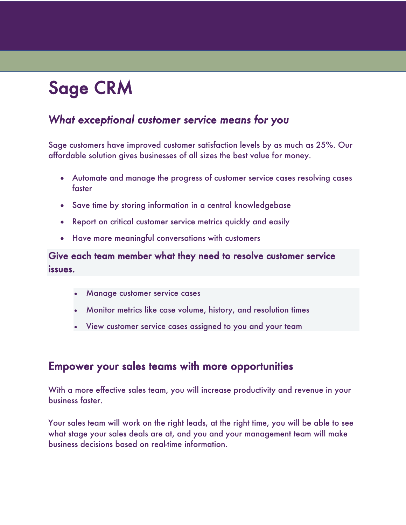# Sage CRM

## *What exceptional customer service means for you*

Sage customers have improved customer satisfaction levels by as much as 25%. Our affordable solution gives businesses of all sizes the best value for money.

- Automate and manage the progress of customer service cases resolving cases faster
- Save time by storing information in a central knowledgebase
- Report on critical customer service metrics quickly and easily
- Have more meaningful conversations with customers

Give each team member what they need to resolve customer service issues.

- Manage customer service cases
- Monitor metrics like case volume, history, and resolution times
- View customer service cases assigned to you and your team

#### Empower your sales teams with more opportunities

With a more effective sales team, you will increase productivity and revenue in your business faster.

Your sales team will work on the right leads, at the right time, you will be able to see what stage your sales deals are at, and you and your management team will make business decisions based on real-time information.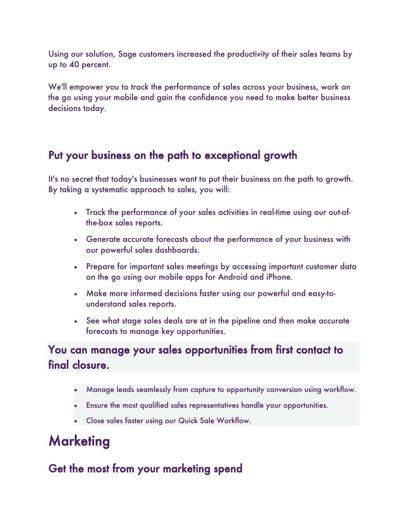Using our solution, Sage customers increased the productivity of their sales teams by up to 40 percent.

We'll empower you to track the performance of sales across your business, work on the go using your mobile and gain the confidence you need to make better business decisions today.

#### Put your business on the path to exceptional growth

It's no secret that today's businesses want to put their business on the path to growth. By taking a systematic approach to sales, you will:

- Track the performance of your sales activities in real-time using our out-ofthe-box sales reports.
- Generate accurate forecasts about the performance of your business with our powerful sales dashboards.
- Prepare for important sales meetings by accessing important customer data on the go using our mobile apps for Android and iPhone.
- Make more informed decisions faster using our powerful and easy-tounderstand sales reports.
- See what stage sales deals are at in the pipeline and then make accurate forecasts to manage key opportunities.

## You can manage your sales opportunities from first contact to final closure.

- Manage leads seamlessly from capture to opportunity conversion using workflow.
- Ensure the most qualified sales representatives handle your opportunities.
- Close sales faster using our Quick Sale Workflow.

## **Marketing**

## Get the most from your marketing spend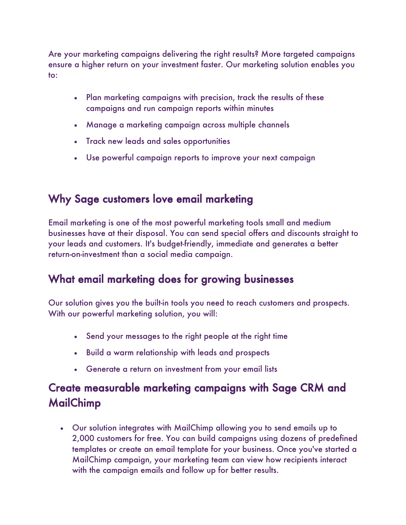Are your marketing campaigns delivering the right results? More targeted campaigns ensure a higher return on your investment faster. Our marketing solution enables you to:

- Plan marketing campaigns with precision, track the results of these campaigns and run campaign reports within minutes
- Manage a marketing campaign across multiple channels
- Track new leads and sales opportunities
- Use powerful campaign reports to improve your next campaign

## Why Sage customers love email marketing

Email marketing is one of the most powerful marketing tools small and medium businesses have at their disposal. You can send special offers and discounts straight to your leads and customers. It's budget-friendly, immediate and generates a better return-on-investment than a social media campaign.

## What email marketing does for growing businesses

Our solution gives you the built-in tools you need to reach customers and prospects. With our powerful marketing solution, you will:

- Send your messages to the right people at the right time
- Build a warm relationship with leads and prospects
- Generate a return on investment from your email lists

## Create measurable marketing campaigns with Sage CRM and MailChimp

• Our solution integrates with MailChimp allowing you to send emails up to 2,000 customers for free. You can build campaigns using dozens of predefined templates or create an email template for your business. Once you've started a MailChimp campaign, your marketing team can view how recipients interact with the campaign emails and follow up for better results.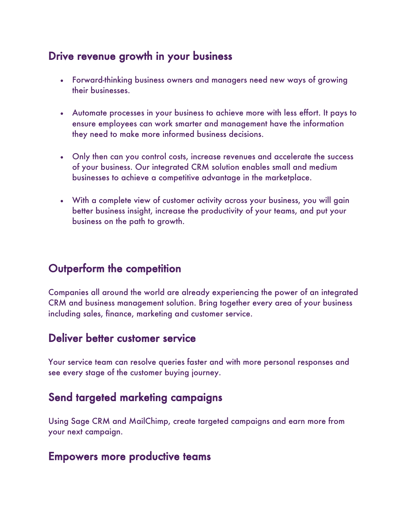## Drive revenue growth in your business

- Forward-thinking business owners and managers need new ways of growing their businesses.
- Automate processes in your business to achieve more with less effort. It pays to ensure employees can work smarter and management have the information they need to make more informed business decisions.
- Only then can you control costs, increase revenues and accelerate the success of your business. Our integrated CRM solution enables small and medium businesses to achieve a competitive advantage in the marketplace.
- With a complete view of customer activity across your business, you will gain better business insight, increase the productivity of your teams, and put your business on the path to growth.

## Outperform the competition

Companies all around the world are already experiencing the power of an integrated CRM and business management solution. Bring together every area of your business including sales, finance, marketing and customer service.

## Deliver better customer service

Your service team can resolve queries faster and with more personal responses and see every stage of the customer buying journey.

## Send targeted marketing campaigns

Using Sage CRM and MailChimp, create targeted campaigns and earn more from your next campaign.

#### Empowers more productive teams